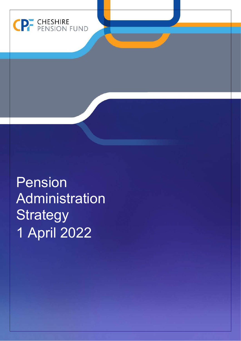

Pension Administration **Strategy** 1 April 2022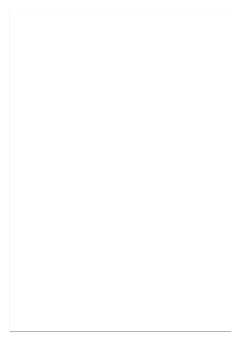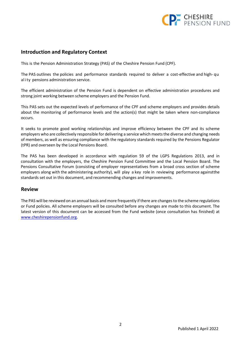

### Introduction and Regulatory Context

This is the Pension Administration Strategy (PAS) of the Cheshire Pension Fund (CPF).

The PAS outlines the policies and performance standards required to deliver a cost-effective and high- qu ality pensions administration service.

The efficient administration of the Pension Fund is dependent on effective administration procedures and strong joint working between scheme employers and the Pension Fund.

This PAS sets out the expected levels of performance of the CPF and scheme employers and provides details about the monitoring of performance levels and the action(s) that might be taken where non-compliance occurs.

It seeks to promote good working relationships and improve efficiency between the CPF and its scheme employers who are collectively responsible for delivering a service which meets the diverse and changing needs of members, as well as ensuring compliance with the regulatory standards required by the Pensions Regulator (tPR) and overseen by the Local Pensions Board.

The PAS has been developed in accordance with regulation 59 of the LGPS Regulations 2013, and in consultation with the employers, the Cheshire Pension Fund Committee and the Local Pension Board. The Pensions Consultative Forum (consisting of employer representatives from a broad cross section of scheme employers along with the administering authority), will play a key role in reviewing performance againstthe standards set out in this document, and recommending changes and improvements.

### Review

The PAS will be reviewed on an annual basis and more frequently if there are changes to the scheme regulations or Fund policies. All scheme employers will be consulted before any changes are made to this document. The latest version of this document can be accessed from the Fund website (once consultation has finished) at www.cheshirepensionfund.org.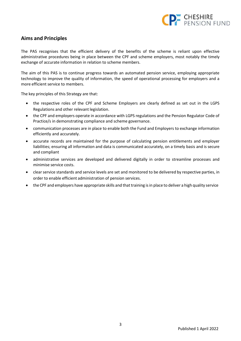

## Aims and Principles

The PAS recognises that the efficient delivery of the benefits of the scheme is reliant upon effective administrative procedures being in place between the CPF and scheme employers, most notably the timely exchange of accurate information in relation to scheme members.

The aim of this PAS is to continue progress towards an automated pension service, employing appropriate technology to improve the quality of information, the speed of operational processing for employers and a more efficient service to members.

The key principles of this Strategy are that:

- the respective roles of the CPF and Scheme Employers are clearly defined as set out in the LGPS Regulations and other relevant legislation.
- the CPF and employers operate in accordance with LGPS regulations and the Pension Regulator Code of Practice/s in demonstrating compliance and scheme governance.
- communication processes are in place to enable both the Fund and Employers to exchange information efficiently and accurately.
- accurate records are maintained for the purpose of calculating pension entitlements and employer liabilities; ensuring all information and data is communicated accurately, on a timely basis and is secure and compliant
- administrative services are developed and delivered digitally in order to streamline processes and minimise service costs.
- clear service standards and service levels are set and monitored to be delivered by respective parties, in order to enable efficient administration of pension services.
- the CPF and employers have appropriate skills and that training is in place to deliver a high quality service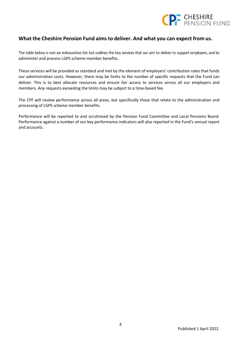

## What the Cheshire Pension Fund aims to deliver. And what you can expect from us.

The table below is not an exhaustive list but outlines the key services that we aim to deliver to support employers, and to administer and process LGPS scheme member benefits.

These services will be provided as standard and met by the element of employers' contribution rates that funds our administration costs. However, there may be limits to the number of specific requests that the Fund can deliver. This is to best allocate resources and ensure fair access to services across all our employers and members. Any requests exceeding the limits may be subject to a time-based fee.

The CPF will review performance across all areas, but specifically those that relate to the administration and processing of LGPS scheme member benefits.

Performance will be reported to and scrutinised by the Pension Fund Committee and Local Pensions Board. Performance against a number of our key performance indicators will also reported in the Fund's annual report and accounts.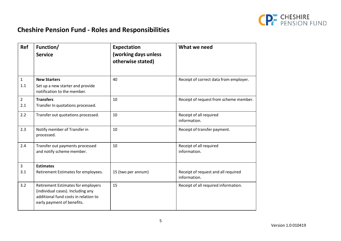

# Cheshire Pension Fund - Roles and Responsibilities

| <b>Ref</b>            | Function/<br><b>Service</b>                                                                                                                          | <b>Expectation</b><br>(working days unless<br>otherwise stated) | What we need                                        |
|-----------------------|------------------------------------------------------------------------------------------------------------------------------------------------------|-----------------------------------------------------------------|-----------------------------------------------------|
| $\mathbf{1}$<br>1.1   | <b>New Starters</b><br>Set up a new starter and provide<br>notification to the member.                                                               | 40                                                              | Receipt of correct data from employer.              |
| $\overline{2}$<br>2.1 | <b>Transfers</b><br>Transfer In quotations processed.                                                                                                | 10                                                              | Receipt of request from scheme member.              |
| 2.2                   | Transfer out quotations processed.                                                                                                                   | 10                                                              | Receipt of all required<br>information.             |
| 2.3                   | Notify member of Transfer in<br>processed.                                                                                                           | 10                                                              | Receipt of transfer payment.                        |
| 2.4                   | Transfer out payments processed<br>and notify scheme member.                                                                                         | 10                                                              | Receipt of all required<br>information.             |
| 3                     | <b>Estimates</b>                                                                                                                                     |                                                                 |                                                     |
| 3.1                   | Retirement Estimates for employees.                                                                                                                  | 15 (two per annum)                                              | Receipt of request and all required<br>information. |
| 3.2                   | <b>Retirement Estimates for employers</b><br>(individual cases). Including any<br>additional fund costs in relation to<br>early payment of benefits. | 15                                                              | Receipt of all required information.                |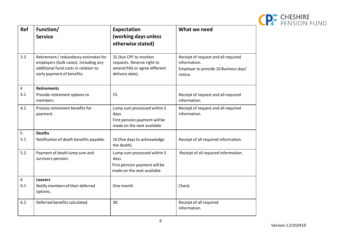

| <b>Ref</b>     | Function/<br><b>Service</b>                                                                                                                          | <b>Expectation</b><br>(working days unless<br>otherwise stated)                                         | What we need                                                                                            |
|----------------|------------------------------------------------------------------------------------------------------------------------------------------------------|---------------------------------------------------------------------------------------------------------|---------------------------------------------------------------------------------------------------------|
| 3.3            | Retirement / redundancy estimates for<br>employers (bulk cases). Including any<br>additional fund costs in relation to<br>early payment of benefits. | 15 (but CPF to monitor<br>requests. Reserve right to<br>amend PAS or agree different<br>delivery date). | Receipt of request and all required<br>information.<br>Employer to provide 10 Business days'<br>notice. |
| $\overline{4}$ | <b>Retirements</b>                                                                                                                                   |                                                                                                         |                                                                                                         |
| 4.1            | Provide retirement options to<br>members.                                                                                                            | 15.                                                                                                     | Receipt of request and all required<br>information.                                                     |
| 4.2            | Process retirement benefits for<br>payment.                                                                                                          | Lump sum processed within 5<br>days<br>First pension payment will be<br>made on the next available      | Receipt of request and all required<br>information.                                                     |
| 5              | <b>Deaths</b>                                                                                                                                        |                                                                                                         |                                                                                                         |
| 5.1            | Notification of death benefits payable.                                                                                                              | 10 (five days to acknowledge<br>the death).                                                             | Receipt of all required information.                                                                    |
| 5.2            | Payment of death lump sum and<br>survivors pension.                                                                                                  | Lump sum processed within 5<br>days<br>First pension payment will be<br>made on the next available      | Receipt of all required information.                                                                    |
| 6              | <b>Leavers</b>                                                                                                                                       |                                                                                                         |                                                                                                         |
| 6.1            | Notify members of their deferred<br>options.                                                                                                         | One month                                                                                               | Check                                                                                                   |
| 6.2            | Deferred benefits calculated.                                                                                                                        | 30.                                                                                                     | Receipt of all required<br>information.                                                                 |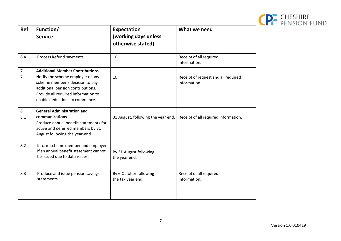|     | <b>D</b> CHESHIRE |  |
|-----|-------------------|--|
| . M | PENSION FUND      |  |

| <b>Ref</b>            | Function/<br><b>Service</b>                                                                                                                                                                                                  | <b>Expectation</b><br>(working days unless<br>otherwise stated) | What we need                                        |
|-----------------------|------------------------------------------------------------------------------------------------------------------------------------------------------------------------------------------------------------------------------|-----------------------------------------------------------------|-----------------------------------------------------|
| 6.4                   | Process Refund payments.                                                                                                                                                                                                     | 10                                                              | Receipt of all required<br>information.             |
| $\overline{7}$<br>7.1 | <b>Additional Member Contributions</b><br>Notify the scheme employer of any<br>scheme member's decision to pay<br>additional pension contributions.<br>Provide all required information to<br>enable deductions to commence. | 10                                                              | Receipt of request and all required<br>information. |
| 8<br>8.1              | <b>General Administration and</b><br>communications<br>Produce annual benefit statements for<br>active and deferred members by 31<br>August following the year-end.                                                          | 31 August, following the year end.                              | Receipt of all required information.                |
| 8.2                   | Inform scheme member and employer<br>if an annual benefit statement cannot<br>be issued due to data issues.                                                                                                                  | By 31 August following<br>the year end.                         |                                                     |
| 8.3                   | Produce and issue pension savings<br>statements.                                                                                                                                                                             | By 6 October following<br>the tax year end.                     | Receipt of all required<br>information.             |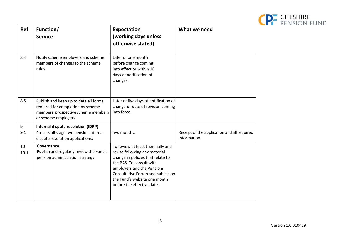| <b>D</b> CHESHIRE |  |
|-------------------|--|
| PENSION FUND      |  |

| <b>Ref</b> | Function/<br><b>Service</b>                                                                                                               | <b>Expectation</b><br>(working days unless<br>otherwise stated)                                                                                                                                                                                                       | What we need                                                |
|------------|-------------------------------------------------------------------------------------------------------------------------------------------|-----------------------------------------------------------------------------------------------------------------------------------------------------------------------------------------------------------------------------------------------------------------------|-------------------------------------------------------------|
| 8.4        | Notify scheme employers and scheme<br>members of changes to the scheme<br>rules.                                                          | Later of one month<br>before change coming<br>into effect or within 10<br>days of notification of<br>changes.                                                                                                                                                         |                                                             |
| 8.5        | Publish and keep up to date all forms<br>required for completion by scheme<br>members, prospective scheme members<br>or scheme employers. | Later of five days of notification of<br>change or date of revision coming<br>into force.                                                                                                                                                                             |                                                             |
| 9<br>9.1   | Internal dispute resolution (IDRP)<br>Process all stage two pension internal<br>dispute resolution applications.                          | Two months.                                                                                                                                                                                                                                                           | Receipt of the application and all required<br>information. |
| 10<br>10.1 | Governance<br>Publish and regularly review the Fund's<br>pension administration strategy.                                                 | To review at least triennially and<br>revise following any material<br>change in policies that relate to<br>the PAS. To consult with<br>employers and the Pensions<br>Consultative Forum and publish on<br>the Fund's website one month<br>before the effective date. |                                                             |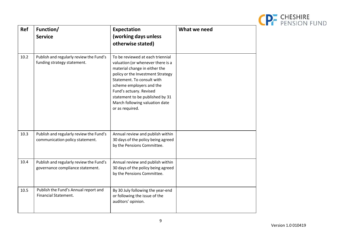

| <b>Ref</b> | Function/<br><b>Service</b>                                                 | <b>Expectation</b><br>(working days unless<br>otherwise stated)                                                                                                                                                                                                                                                          | What we need |
|------------|-----------------------------------------------------------------------------|--------------------------------------------------------------------------------------------------------------------------------------------------------------------------------------------------------------------------------------------------------------------------------------------------------------------------|--------------|
| 10.2       | Publish and regularly review the Fund's<br>funding strategy statement.      | To be reviewed at each triennial<br>valuation (or whenever there is a<br>material change in either the<br>policy or the Investment Strategy<br>Statement. To consult with<br>scheme employers and the<br>Fund's actuary. Revised<br>statement to be published by 31<br>March following valuation date<br>or as required. |              |
| 10.3       | Publish and regularly review the Fund's<br>communication policy statement.  | Annual review and publish within<br>30 days of the policy being agreed<br>by the Pensions Committee.                                                                                                                                                                                                                     |              |
| 10.4       | Publish and regularly review the Fund's<br>governance compliance statement. | Annual review and publish within<br>30 days of the policy being agreed<br>by the Pensions Committee.                                                                                                                                                                                                                     |              |
| 10.5       | Publish the Fund's Annual report and<br><b>Financial Statement.</b>         | By 30 July following the year-end<br>or following the issue of the<br>auditors' opinion.                                                                                                                                                                                                                                 |              |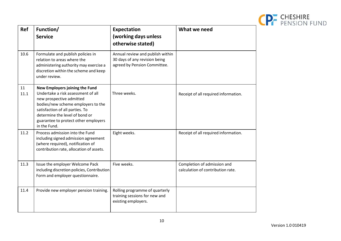

| <b>Ref</b> | Function/<br><b>Service</b>                                                                                                                                                                                                                                         | <b>Expectation</b><br>(working days unless<br>otherwise stated)                                   | What we need                                                     |
|------------|---------------------------------------------------------------------------------------------------------------------------------------------------------------------------------------------------------------------------------------------------------------------|---------------------------------------------------------------------------------------------------|------------------------------------------------------------------|
| 10.6       | Formulate and publish policies in<br>relation to areas where the<br>administering authority may exercise a<br>discretion within the scheme and keep<br>under review.                                                                                                | Annual review and publish within<br>30 days of any revision being<br>agreed by Pension Committee. |                                                                  |
| 11<br>11.1 | New Employers joining the Fund<br>Undertake a risk assessment of all<br>new prospective admitted<br>bodies/new scheme employers to the<br>satisfaction of all parties. To<br>determine the level of bond or<br>guarantee to protect other employers<br>in the Fund. | Three weeks.                                                                                      | Receipt of all required information.                             |
| 11.2       | Process admission into the Fund<br>including signed admission agreement<br>(where required), notification of<br>contribution rate, allocation of assets.                                                                                                            | Eight weeks.                                                                                      | Receipt of all required information.                             |
| 11.3       | Issue the employer Welcome Pack<br>including discretion policies, Contribution<br>Form and employer questionnaire.                                                                                                                                                  | Five weeks.                                                                                       | Completion of admission and<br>calculation of contribution rate. |
| 11.4       | Provide new employer pension training.                                                                                                                                                                                                                              | Rolling programme of quarterly<br>training sessions for new and<br>existing employers.            |                                                                  |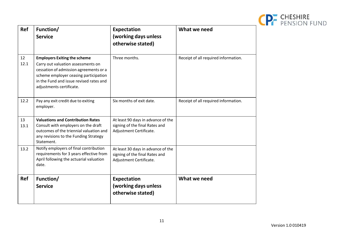

| <b>Ref</b> | Function/<br><b>Service</b>                                                                                                                                                                                                         | <b>Expectation</b><br>(working days unless<br>otherwise stated)                                 | What we need                         |
|------------|-------------------------------------------------------------------------------------------------------------------------------------------------------------------------------------------------------------------------------------|-------------------------------------------------------------------------------------------------|--------------------------------------|
| 12<br>12.1 | <b>Employers Exiting the scheme</b><br>Carry out valuation assessments on<br>cessation of admission agreements or a<br>scheme employer ceasing participation<br>in the Fund and issue revised rates and<br>adjustments certificate. | Three months.                                                                                   | Receipt of all required information. |
| 12.2       | Pay any exit credit due to exiting<br>employer.                                                                                                                                                                                     | Six months of exit date.                                                                        | Receipt of all required information. |
| 13<br>13.1 | <b>Valuations and Contribution Rates</b><br>Consult with employers on the draft<br>outcomes of the triennial valuation and<br>any revisions to the Funding Strategy<br>Statement.                                                   | At least 90 days in advance of the<br>signing of the final Rates and<br>Adjustment Certificate. |                                      |
| 13.2       | Notify employers of final contribution<br>requirements for 3 years effective from<br>April following the actuarial valuation<br>date.                                                                                               | At least 30 days in advance of the<br>signing of the final Rates and<br>Adjustment Certificate. |                                      |
| <b>Ref</b> | Function/<br><b>Service</b>                                                                                                                                                                                                         | <b>Expectation</b><br>(working days unless<br>otherwise stated)                                 | What we need                         |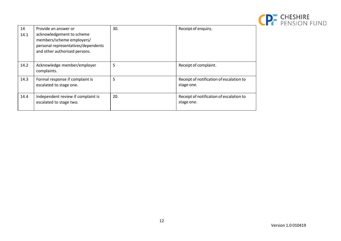

| 14<br>14.1 | Provide an answer or<br>acknowledgement to scheme<br>members/scheme employers/<br>personal representatives/dependents<br>and other authorised persons. | 30. | Receipt of enquiry.                                    |
|------------|--------------------------------------------------------------------------------------------------------------------------------------------------------|-----|--------------------------------------------------------|
| 14.2       | Acknowledge member/employer<br>complaints.                                                                                                             | 5   | Receipt of complaint.                                  |
| 14.3       | Formal response if complaint is<br>escalated to stage one.                                                                                             | 5   | Receipt of notification of escalation to<br>stage one. |
| 14.4       | Independent review if complaint is<br>escalated to stage two.                                                                                          | 20. | Receipt of notification of escalation to<br>stage one. |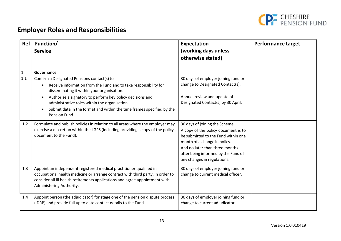

# Employer Roles and Responsibilities

| <b>Ref</b>          | Function/<br><b>Service</b>                                                                                                                                                                                                                                                                                                                                                         | <b>Expectation</b><br>(working days unless<br>otherwise stated)                                                                                                                                                                                     | <b>Performance target</b> |
|---------------------|-------------------------------------------------------------------------------------------------------------------------------------------------------------------------------------------------------------------------------------------------------------------------------------------------------------------------------------------------------------------------------------|-----------------------------------------------------------------------------------------------------------------------------------------------------------------------------------------------------------------------------------------------------|---------------------------|
| $\mathbf{1}$<br>1.1 | Governance<br>Confirm a Designated Pensions contact(s) to<br>Receive information from the Fund and to take responsibility for<br>disseminating it within your organisation.<br>Authorise a signatory to perform key policy decisions and<br>administrative roles within the organisation.<br>Submit data in the format and within the time frames specified by the<br>Pension Fund. | 30 days of employer joining fund or<br>change to Designated Contact(s).<br>Annual review and update of<br>Designated Contact(s) by 30 April.                                                                                                        |                           |
| 1.2                 | Formulate and publish policies in relation to all areas where the employer may<br>exercise a discretion within the LGPS (including providing a copy of the policy<br>document to the Fund).                                                                                                                                                                                         | 30 days of joining the Scheme<br>A copy of the policy document is to<br>be submitted to the Fund within one<br>month of a change in policy.<br>And no later than three months<br>after being informed by the Fund of<br>any changes in regulations. |                           |
| 1.3                 | Appoint an independent registered medical practitioner qualified in<br>occupational health medicine or arrange contract with third party, in order to<br>consider all ill health retirements applications and agree appointment with<br>Administering Authority.                                                                                                                    | 30 days of employer joining fund or<br>change to current medical officer.                                                                                                                                                                           |                           |
| 1.4                 | Appoint person (the adjudicator) for stage one of the pension dispute process<br>(IDRP) and provide full up to date contact details to the Fund.                                                                                                                                                                                                                                    | 30 days of employer joining fund or<br>change to current adjudicator.                                                                                                                                                                               |                           |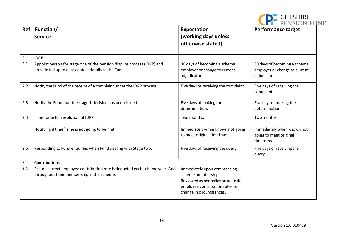

| <b>Ref</b>            | Function/                                                                                                                                     | <b>Expectation</b>                                                                                                                                     | Performance target                                                            |
|-----------------------|-----------------------------------------------------------------------------------------------------------------------------------------------|--------------------------------------------------------------------------------------------------------------------------------------------------------|-------------------------------------------------------------------------------|
|                       | <b>Service</b>                                                                                                                                | (working days unless<br>otherwise stated)                                                                                                              |                                                                               |
| $\overline{2}$<br>2.1 | <b>IDRP</b><br>Appoint person for stage one of the pension dispute process (IDRP) and<br>provide full up to date contact details to the Fund. | 30 days of becoming a scheme<br>employer or change to current<br>adjudicator.                                                                          | 30 days of becoming a scheme<br>employer or change to current<br>adjudicator. |
| 2.2                   | Notify the Fund of the receipt of a complaint under the IDRP process.                                                                         | Five days of receiving the complaint.                                                                                                                  | Five days of receiving the<br>complaint.                                      |
| 2.3                   | Notify the Fund that the stage 1 decision has been issued.                                                                                    | Five days of making the<br>determination.                                                                                                              | Five days of making the<br>determination.                                     |
| 2.4                   | Timeframe for resolution of IDRP                                                                                                              | Two months.                                                                                                                                            | Two months.                                                                   |
|                       | Notifying if timeframe is not going to be met.                                                                                                | Immediately when known not going<br>to meet original timeframe.                                                                                        | Immediately when known not<br>going to meet original<br>timeframe.            |
| 2.5                   | Responding to Fund enquiries when Fund dealing with Stage two.                                                                                | Five days of receiving the query.                                                                                                                      | Five days of receiving the<br>query.                                          |
| 3                     | <b>Contributions</b>                                                                                                                          |                                                                                                                                                        |                                                                               |
| 3.1                   | Ensure correct employee contribution rate is deducted each scheme year. And<br>throughout their membership in the Scheme.                     | Immediately upon commencing<br>scheme membership.<br>Reviewed as per policy on adjusting<br>employee contribution rates or<br>change in circumstances. |                                                                               |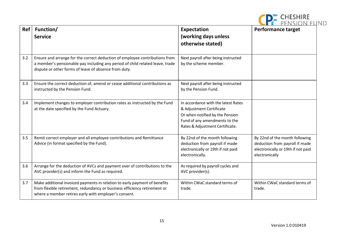

| <b>Ref</b> | Function/<br><b>Service</b>                                                                                                                                                                                           | <b>Expectation</b><br>(working days unless<br>otherwise stated)                                                                                                        | <b>Performance target</b>                                                                                                |
|------------|-----------------------------------------------------------------------------------------------------------------------------------------------------------------------------------------------------------------------|------------------------------------------------------------------------------------------------------------------------------------------------------------------------|--------------------------------------------------------------------------------------------------------------------------|
| 3.2        | Ensure and arrange for the correct deduction of employee contributions from<br>a member's pensionable pay including any period of child related leave, trade<br>dispute or other forms of leave of absence from duty. | Next payroll after being instructed<br>by the scheme member.                                                                                                           |                                                                                                                          |
| 3.3        | Ensure the correct deduction of, amend or cease additional contributions as<br>instructed by the Pension Fund.                                                                                                        | Next payroll after being instructed<br>by the Pension Fund.                                                                                                            |                                                                                                                          |
| 3.4        | Implement changes to employer contribution rates as instructed by the Fund<br>at the date specified by the Fund Actuary.                                                                                              | In accordance with the latest Rates<br>& Adjustment Certificate<br>Or when notified by the Pension<br>Fund of any amendments to the<br>Rates & Adjustment Certificate. |                                                                                                                          |
| 3.5        | Remit correct employer and all employee contributions and Remittance<br>Advice (in format specified by the Fund).                                                                                                     | By 22nd of the month following<br>deduction from payroll if made<br>electronically or 19th if not paid<br>electronically.                                              | By 22nd of the month following<br>deduction from payroll if made<br>electronically or 19th if not paid<br>electronically |
| 3.6        | Arrange for the deduction of AVCs and payment over of contributions to the<br>AVC provider(s) and inform the Fund as required.                                                                                        | As required by payroll cycles and<br>AVC provider(s).                                                                                                                  |                                                                                                                          |
| 3.7        | Make additional invoiced payments in relation to early payment of benefits<br>from flexible retirement, redundancy or business efficiency retirement or<br>where a member retires early with employer's consent.      | Within CWaC standard terms of<br>trade.                                                                                                                                | Within CWaC standard terms of<br>trade.                                                                                  |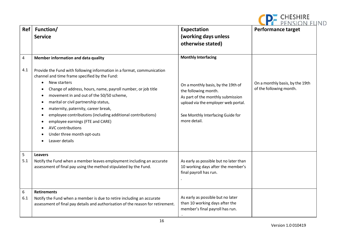

| Ref                     | Function/<br><b>Service</b>                                                                                                                                                                                                                                                                                                                                                                                                                                                                                                                      | <b>Expectation</b><br>(working days unless<br>otherwise stated)                                                                                                                             | <b>Performance target</b>                                  |
|-------------------------|--------------------------------------------------------------------------------------------------------------------------------------------------------------------------------------------------------------------------------------------------------------------------------------------------------------------------------------------------------------------------------------------------------------------------------------------------------------------------------------------------------------------------------------------------|---------------------------------------------------------------------------------------------------------------------------------------------------------------------------------------------|------------------------------------------------------------|
| 4                       | Member information and data quality                                                                                                                                                                                                                                                                                                                                                                                                                                                                                                              | <b>Monthly Interfacing</b>                                                                                                                                                                  |                                                            |
| 4.1                     | Provide the Fund with following information in a format, communication<br>channel and time frame specified by the Fund:<br>New starters<br>$\bullet$<br>Change of address, hours, name, payroll number, or job title<br>movement in and out of the 50/50 scheme,<br>marital or civil partnership status,<br>٠<br>maternity, paternity, career break,<br>$\bullet$<br>employee contributions (including additional contributions)<br>employee earnings (FTE and CARE)<br><b>AVC</b> contributions<br>Under three month opt-outs<br>Leaver details | On a monthly basis, by the 19th of<br>the following month.<br>As part of the monthly submission<br>upload via the employer web portal.<br>See Monthly Interfacing Guide for<br>more detail. | On a monthly basis, by the 19th<br>of the following month. |
| 5                       | <b>Leavers</b>                                                                                                                                                                                                                                                                                                                                                                                                                                                                                                                                   |                                                                                                                                                                                             |                                                            |
| 5.1                     | Notify the Fund when a member leaves employment including an accurate<br>assessment of final pay using the method stipulated by the Fund.                                                                                                                                                                                                                                                                                                                                                                                                        | As early as possible but no later than<br>10 working days after the member's<br>final payroll has run.                                                                                      |                                                            |
| $\boldsymbol{6}$<br>6.1 | <b>Retirements</b><br>Notify the Fund when a member is due to retire including an accurate<br>assessment of final pay details and authorisation of the reason for retirement.                                                                                                                                                                                                                                                                                                                                                                    | As early as possible but no later<br>than 10 working days after the<br>member's final payroll has run.                                                                                      |                                                            |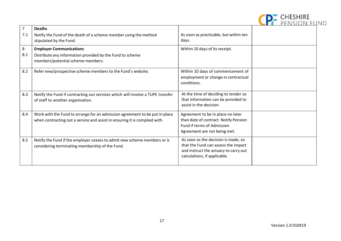

| 7<br>7.1 | <b>Deaths</b><br>Notify the Fund of the death of a scheme member using the method<br>stipulated by the Fund.                                              | As soon as practicable, but within ten<br>days.                                                                                                     |  |
|----------|-----------------------------------------------------------------------------------------------------------------------------------------------------------|-----------------------------------------------------------------------------------------------------------------------------------------------------|--|
| 8<br>8.1 | <b>Employer Communications</b><br>Distribute any information provided by the Fund to scheme<br>members/potential scheme members.                          | Within 10 days of its receipt.                                                                                                                      |  |
| 8.2      | Refer new/prospective scheme members to the Fund's website.                                                                                               | Within 10 days of commencement of<br>employment or change in contractual<br>conditions.                                                             |  |
| 8.3      | Notify the Fund if contracting out services which will involve a TUPE transfer<br>of staff to another organisation.                                       | At the time of deciding to tender so<br>that information can be provided to<br>assist in the decision.                                              |  |
| 8.4      | Work with the Fund to arrange for an admission agreement to be put in place<br>when contracting out a service and assist in ensuring it is complied with. | Agreement to be in place no later<br>than date of contract. Notify Pension<br>Fund if terms of Admission<br>Agreement are not being met.            |  |
| 8.5      | Notify the Fund if the employer ceases to admit new scheme members or is<br>considering terminating membership of the Fund.                               | As soon as the decision is made, so<br>that the Fund can assess the impact<br>and instruct the actuary to carry out<br>calculations, if applicable. |  |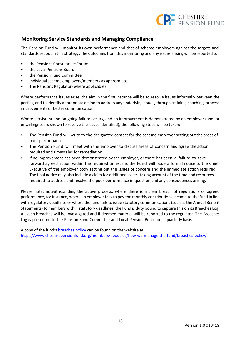

## Monitoring Service Standards and Managing Compliance

The Pension Fund will monitor its own performance and that of scheme employers against the targets and standards set out in this strategy. The outcomes from this monitoring and any issues arising will be reported to:

- the Pensions Consultative Forum
- the Local Pensions Board
- the Pension Fund Committee
- individual scheme employers/members as appropriate
- The Pensions Regulator (where applicable)

Where performance issues arise, the aim in the first instance will be to resolve issues informally between the parties, and to identify appropriate action to address any underlying issues, through training, coaching, process improvements or better communication.

Where persistent and on-going failure occurs, and no improvement is demonstrated by an employer (and, or unwillingness is shown to resolve the issues identified), the following steps will be taken:

- The Pension Fund will write to the designated contact for the scheme employer setting out the areas of poor performance.
- The Pension Fund will meet with the employer to discuss areas of concern and agree the action required and timescales for remediation.
- if no improvement has been demonstrated by the employer, or there has been a failure to take forward agreed action within the required timescale, the Fund will issue a formal notice to the Chief Executive of the employer body setting out the issues of concern and the immediate action required. The final notice may also include a claim for additional costs, taking account of the time and resources required to address and resolve the poor performance in question and any consequences arising.

Please note, notwithstanding the above process, where there is a clear breach of regulations or agreed performance, for instance, where an employer fails to pay the monthly contributions income to the fund in line with regulatory deadlines or where the fund fails to issue statutory communications (such as the Annual Benefit Statements) to members within statutory deadlines, the Fund is duty bound to capture this on its Breaches Log. All such breaches will be investigated and if deemed material will be reported to the regulator. The Breaches Log is presented to the Pension Fund Committee and Local Pension Board on a quarterly basis.

A copy of the fund's breaches policy can be found on the website at https://www.cheshirepensionfund.org/members/about-us/how-we-manage-the-fund/breaches-policy/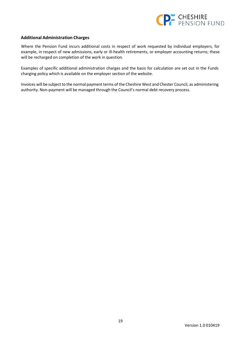

#### Additional Administration Charges

Where the Pension Fund incurs additional costs in respect of work requested by individual employers, for example, in respect of new admissions, early or ill-health retirements, or employer accounting returns; these will be recharged on completion of the work in question.

Examples of specific additional administration charges and the basis for calculation are set out in the Funds charging policy which is available on the employer section of the website.

Invoices will be subject to the normal payment terms of the Cheshire West and Chester Council, as administering authority. Non-payment will be managed through the Council's normal debt recovery process.